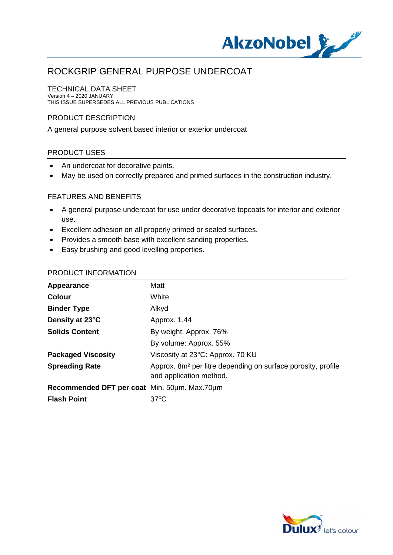

## TECHNICAL DATA SHEET

Version 4 – 2020 JANUARY THIS ISSUE SUPERSEDES ALL PREVIOUS PUBLICATIONS

## PRODUCT DESCRIPTION

A general purpose solvent based interior or exterior undercoat

## PRODUCT USES

- · An undercoat for decorative paints.
- · May be used on correctly prepared and primed surfaces in the construction industry.

## FEATURES AND BENEFITS

- · A general purpose undercoat for use under decorative topcoats for interior and exterior use.
- · Excellent adhesion on all properly primed or sealed surfaces.
- · Provides a smooth base with excellent sanding properties.
- · Easy brushing and good levelling properties.

| Appearance                                   | Matt                                                                                                |
|----------------------------------------------|-----------------------------------------------------------------------------------------------------|
| <b>Colour</b>                                | White                                                                                               |
| <b>Binder Type</b>                           | Alkyd                                                                                               |
| Density at 23°C                              | Approx. 1.44                                                                                        |
| <b>Solids Content</b>                        | By weight: Approx. 76%                                                                              |
|                                              | By volume: Approx. 55%                                                                              |
| <b>Packaged Viscosity</b>                    | Viscosity at 23°C: Approx. 70 KU                                                                    |
| <b>Spreading Rate</b>                        | Approx. 8m <sup>2</sup> per litre depending on surface porosity, profile<br>and application method. |
| Recommended DFT per coat Min. 50um. Max.70um |                                                                                                     |
| <b>Flash Point</b>                           | $37^{\circ}$ C                                                                                      |

## PRODUCT INFORMATION

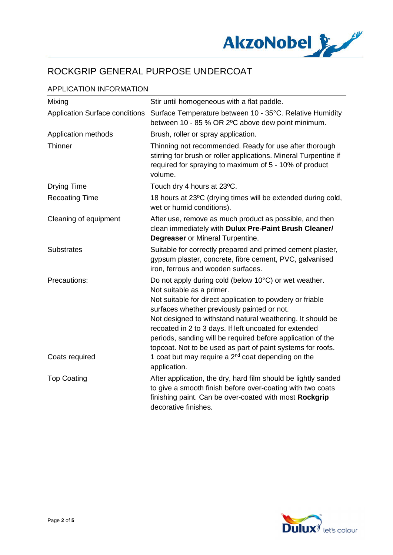

## APPLICATION INFORMATION

| Mixing                                | Stir until homogeneous with a flat paddle.                                                                                                                                                                                                                                                                                                                                                                                                           |
|---------------------------------------|------------------------------------------------------------------------------------------------------------------------------------------------------------------------------------------------------------------------------------------------------------------------------------------------------------------------------------------------------------------------------------------------------------------------------------------------------|
| <b>Application Surface conditions</b> | Surface Temperature between 10 - 35°C. Relative Humidity<br>between 10 - 85 % OR 2°C above dew point minimum.                                                                                                                                                                                                                                                                                                                                        |
| Application methods                   | Brush, roller or spray application.                                                                                                                                                                                                                                                                                                                                                                                                                  |
| Thinner                               | Thinning not recommended. Ready for use after thorough<br>stirring for brush or roller applications. Mineral Turpentine if<br>required for spraying to maximum of 5 - 10% of product<br>volume.                                                                                                                                                                                                                                                      |
| <b>Drying Time</b>                    | Touch dry 4 hours at 23°C.                                                                                                                                                                                                                                                                                                                                                                                                                           |
| <b>Recoating Time</b>                 | 18 hours at 23°C (drying times will be extended during cold,<br>wet or humid conditions).                                                                                                                                                                                                                                                                                                                                                            |
| Cleaning of equipment                 | After use, remove as much product as possible, and then<br>clean immediately with Dulux Pre-Paint Brush Cleaner/<br><b>Degreaser</b> or Mineral Turpentine.                                                                                                                                                                                                                                                                                          |
| <b>Substrates</b>                     | Suitable for correctly prepared and primed cement plaster,<br>gypsum plaster, concrete, fibre cement, PVC, galvanised<br>iron, ferrous and wooden surfaces.                                                                                                                                                                                                                                                                                          |
| Precautions:                          | Do not apply during cold (below 10°C) or wet weather.<br>Not suitable as a primer.<br>Not suitable for direct application to powdery or friable<br>surfaces whether previously painted or not.<br>Not designed to withstand natural weathering. It should be<br>recoated in 2 to 3 days. If left uncoated for extended<br>periods, sanding will be required before application of the<br>topcoat. Not to be used as part of paint systems for roofs. |
| Coats required                        | 1 coat but may require a $2^{nd}$ coat depending on the<br>application.                                                                                                                                                                                                                                                                                                                                                                              |
| <b>Top Coating</b>                    | After application, the dry, hard film should be lightly sanded<br>to give a smooth finish before over-coating with two coats<br>finishing paint. Can be over-coated with most Rockgrip<br>decorative finishes.                                                                                                                                                                                                                                       |

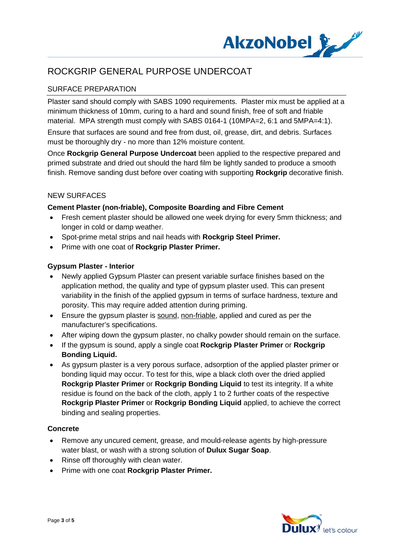

## SURFACE PREPARATION

Plaster sand should comply with SABS 1090 requirements. Plaster mix must be applied at a minimum thickness of 10mm, curing to a hard and sound finish, free of soft and friable material. MPA strength must comply with SABS 0164-1 (10MPA=2, 6:1 and 5MPA=4:1).

Ensure that surfaces are sound and free from dust, oil, grease, dirt, and debris. Surfaces must be thoroughly dry - no more than 12% moisture content.

Once **Rockgrip General Purpose Undercoat** been applied to the respective prepared and primed substrate and dried out should the hard film be lightly sanded to produce a smooth finish. Remove sanding dust before over coating with supporting **Rockgrip** decorative finish.

## NEW SURFACES

## **Cement Plaster (non-friable), Composite Boarding and Fibre Cement**

- · Fresh cement plaster should be allowed one week drying for every 5mm thickness; and longer in cold or damp weather.
- · Spot-prime metal strips and nail heads with **Rockgrip Steel Primer.**
- · Prime with one coat of **Rockgrip Plaster Primer.**

## **Gypsum Plaster - Interior**

- · Newly applied Gypsum Plaster can present variable surface finishes based on the application method, the quality and type of gypsum plaster used. This can present variability in the finish of the applied gypsum in terms of surface hardness, texture and porosity. This may require added attention during priming.
- · Ensure the gypsum plaster is sound, non-friable, applied and cured as per the manufacturer's specifications.
- After wiping down the gypsum plaster, no chalky powder should remain on the surface.
- · If the gypsum is sound, apply a single coat **Rockgrip Plaster Primer** or **Rockgrip Bonding Liquid.**
- · As gypsum plaster is a very porous surface, adsorption of the applied plaster primer or bonding liquid may occur. To test for this, wipe a black cloth over the dried applied **Rockgrip Plaster Primer** or **Rockgrip Bonding Liquid** to test its integrity. If a white residue is found on the back of the cloth, apply 1 to 2 further coats of the respective **Rockgrip Plaster Primer** or **Rockgrip Bonding Liquid** applied, to achieve the correct binding and sealing properties.

## **Concrete**

- · Remove any uncured cement, grease, and mould-release agents by high-pressure water blast, or wash with a strong solution of **Dulux Sugar Soap**.
- · Rinse off thoroughly with clean water.
- · Prime with one coat **Rockgrip Plaster Primer.**

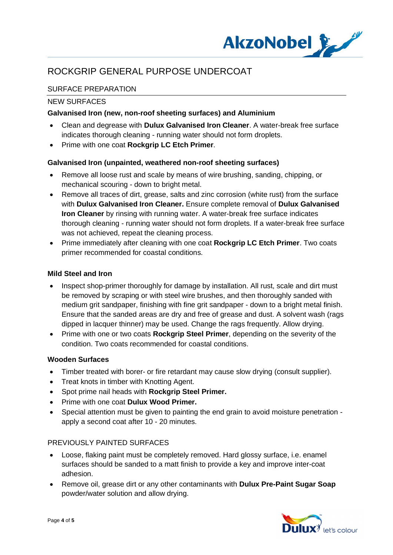

## SURFACE PREPARATION

## NEW SURFACES

## **Galvanised Iron (new, non-roof sheeting surfaces) and Aluminium**

- · Clean and degrease with **Dulux Galvanised Iron Cleaner**. A water-break free surface indicates thorough cleaning - running water should not form droplets.
- · Prime with one coat **Rockgrip LC Etch Primer**.

## **Galvanised Iron (unpainted, weathered non-roof sheeting surfaces)**

- · Remove all loose rust and scale by means of wire brushing, sanding, chipping, or mechanical scouring - down to bright metal.
- · Remove all traces of dirt, grease, salts and zinc corrosion (white rust) from the surface with **Dulux Galvanised Iron Cleaner.** Ensure complete removal of **Dulux Galvanised Iron Cleaner** by rinsing with running water. A water-break free surface indicates thorough cleaning - running water should not form droplets. If a water-break free surface was not achieved, repeat the cleaning process.
- · Prime immediately after cleaning with one coat **Rockgrip LC Etch Primer**. Two coats primer recommended for coastal conditions.

## **Mild Steel and Iron**

- Inspect shop-primer thoroughly for damage by installation. All rust, scale and dirt must be removed by scraping or with steel wire brushes, and then thoroughly sanded with medium grit sandpaper, finishing with fine grit sandpaper - down to a bright metal finish. Ensure that the sanded areas are dry and free of grease and dust. A solvent wash (rags dipped in lacquer thinner) may be used. Change the rags frequently. Allow drying.
- · Prime with one or two coats **Rockgrip Steel Primer**, depending on the severity of the condition. Two coats recommended for coastal conditions.

## **Wooden Surfaces**

- · Timber treated with borer- or fire retardant may cause slow drying (consult supplier).
- · Treat knots in timber with Knotting Agent.
- · Spot prime nail heads with **Rockgrip Steel Primer.**
- · Prime with one coat **Dulux Wood Primer.**
- · Special attention must be given to painting the end grain to avoid moisture penetration apply a second coat after 10 - 20 minutes.

## PREVIOUSLY PAINTED SURFACES

- · Loose, flaking paint must be completely removed. Hard glossy surface, i.e. enamel surfaces should be sanded to a matt finish to provide a key and improve inter-coat adhesion.
- · Remove oil, grease dirt or any other contaminants with **Dulux Pre-Paint Sugar Soap** powder/water solution and allow drying.